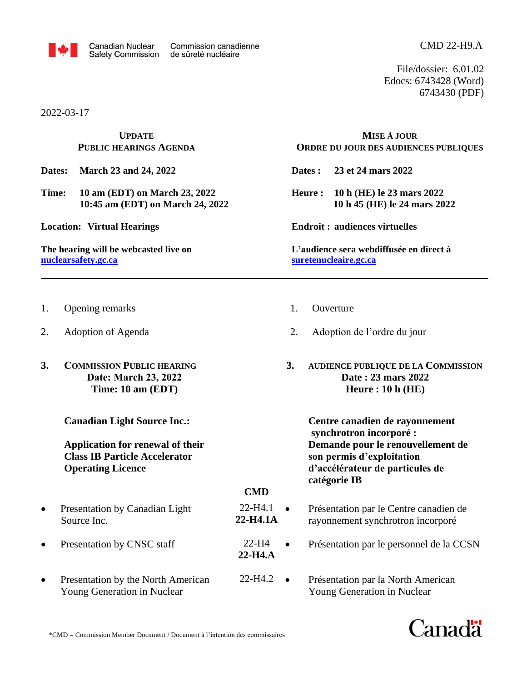

File/dossier: 6.01.02 Edocs: 6743428 (Word) 6743430 (PDF)

2022-03-17

**UPDATE PUBLIC HEARINGS AGENDA**

**Dates: March 23 and 24, 2022**

- **Time: 10 am (EDT) on March 23, 2022 10:45 am (EDT) on March 24, 2022**
- **Location: Virtual Hearings**

**The hearing will be webcasted live on [nuclearsafety.gc.ca](http://www.nuclearsafety.gc.ca/)**

- 1. Opening remarks
- 2. Adoption of Agenda
- **3. COMMISSION PUBLIC HEARING Date: March 23, 2022 Time: 10 am (EDT)**

**Canadian Light Source Inc.:**

**Application for renewal of their Class IB Particle Accelerator Operating Licence**

- Presentation by Canadian Light Source Inc.
- Presentation by CNSC staff
- Presentation by the North American Young Generation in Nuclear

**MISE À JOUR ORDRE DU JOUR DES AUDIENCES PUBLIQUES**

**Dates : 23 et 24 mars 2022**

**Heure : 10 h (HE) le 23 mars 2022 10 h 45 (HE) le 24 mars 2022**

**Endroit : audiences virtuelles**

**L'audience sera webdiffusée en direct à [suretenucleaire.gc.ca](http://www.suretenucleaire.gc.ca/)**

- 1. Ouverture
- 2. Adoption de l'ordre du jour
- **3. AUDIENCE PUBLIQUE DE LA COMMISSION Date : 23 mars 2022 Heure : 10 h (HE)**

**Centre canadien de rayonnement synchrotron incorporé : Demande pour le renouvellement de son permis d'exploitation d'accélérateur de particules de catégorie IB**

**CMD**

**22-H4.A**

- 22-H4.1 **22-H4.1A** • Présentation par le Centre canadien de rayonnement synchrotron incorporé
	- Présentation par le personnel de la CCSN 22-H4 •
- Présentation par la North American Young Generation in Nuclear 22-H4.2 •

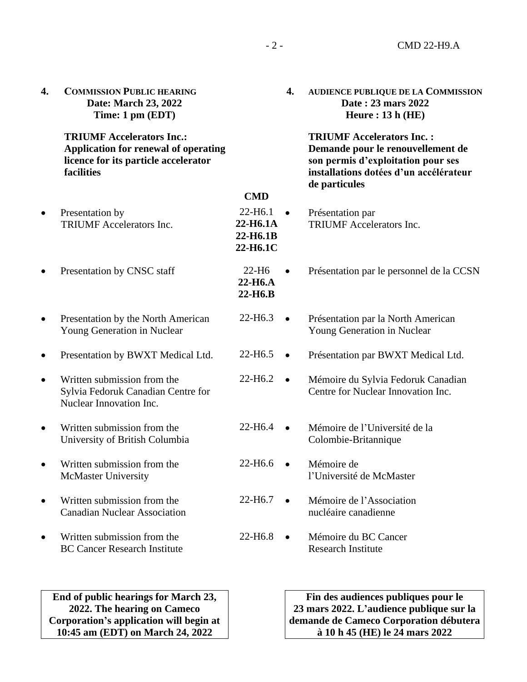| 4. | <b>COMMISSION PUBLIC HEARING</b><br>Date: March 23, 2022<br>Time: 1 pm (EDT)                                                          |                                                         | 4.        | AUDIENCE PUBLIQUE DE LA COMMISSION<br>Date: 23 mars 2022<br>Heure: $13h$ (HE)                                                                                          |
|----|---------------------------------------------------------------------------------------------------------------------------------------|---------------------------------------------------------|-----------|------------------------------------------------------------------------------------------------------------------------------------------------------------------------|
|    | <b>TRIUMF Accelerators Inc.:</b><br><b>Application for renewal of operating</b><br>licence for its particle accelerator<br>facilities |                                                         |           | <b>TRIUMF Accelerators Inc.:</b><br>Demande pour le renouvellement de<br>son permis d'exploitation pour ses<br>installations dotées d'un accélérateur<br>de particules |
|    |                                                                                                                                       | <b>CMD</b>                                              |           |                                                                                                                                                                        |
|    | Presentation by<br><b>TRIUMF</b> Accelerators Inc.                                                                                    | 22-H <sub>6.1</sub><br>22-H6.1A<br>22-H6.1B<br>22-H6.1C |           | Présentation par<br><b>TRIUMF</b> Accelerators Inc.                                                                                                                    |
|    | Presentation by CNSC staff                                                                                                            | $22-H6$<br>$22-H6.A$<br>22-H <sub>6</sub> .B            | $\bullet$ | Présentation par le personnel de la CCSN                                                                                                                               |
|    | Presentation by the North American<br>Young Generation in Nuclear                                                                     | 22-H6.3                                                 | $\bullet$ | Présentation par la North American<br>Young Generation in Nuclear                                                                                                      |
|    | Presentation by BWXT Medical Ltd.                                                                                                     | 22-H6.5                                                 | $\bullet$ | Présentation par BWXT Medical Ltd.                                                                                                                                     |
|    | Written submission from the<br>Sylvia Fedoruk Canadian Centre for<br>Nuclear Innovation Inc.                                          | 22-H6.2                                                 | $\bullet$ | Mémoire du Sylvia Fedoruk Canadian<br>Centre for Nuclear Innovation Inc.                                                                                               |
|    | Written submission from the<br>University of British Columbia                                                                         | 22-H6.4                                                 |           | Mémoire de l'Université de la<br>Colombie-Britannique                                                                                                                  |
|    | Written submission from the<br><b>McMaster University</b>                                                                             | 22-H6.6                                                 |           | Mémoire de<br>l'Université de McMaster                                                                                                                                 |
|    | Written submission from the<br><b>Canadian Nuclear Association</b>                                                                    | 22-H <sub>6.7</sub>                                     |           | Mémoire de l'Association<br>nucléaire canadienne                                                                                                                       |
|    | Written submission from the<br><b>BC Cancer Research Institute</b>                                                                    | 22-H6.8                                                 |           | Mémoire du BC Cancer<br><b>Research Institute</b>                                                                                                                      |
|    |                                                                                                                                       |                                                         |           |                                                                                                                                                                        |

**End of public hearings for March 23, 2022. The hearing on Cameco Corporation's application will begin at 10:45 am (EDT) on March 24, 2022**

**Fin des audiences publiques pour le 23 mars 2022. L'audience publique sur la demande de Cameco Corporation débutera à 10 h 45 (HE) le 24 mars 2022**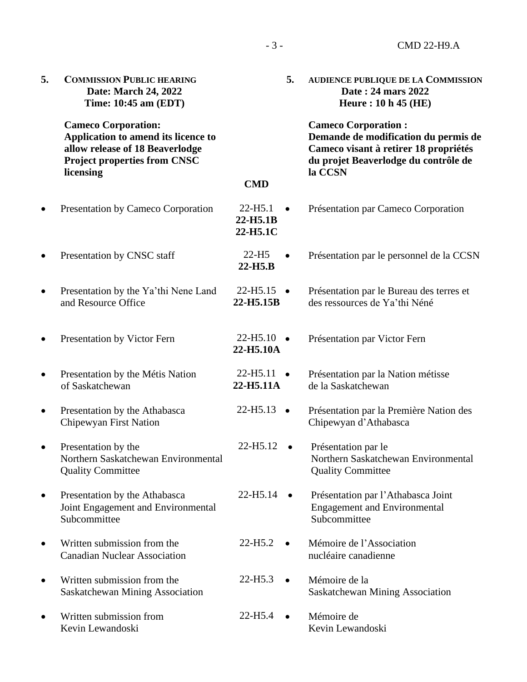| 5.        | <b>COMMISSION PUBLIC HEARING</b><br>Date: March 24, 2022<br>Time: 10:45 am (EDT)                                                                         |                                   | 5.        | <b>AUDIENCE PUBLIQUE DE LA COMMISSION</b><br>Date: 24 mars 2022<br><b>Heure: 10 h 45 (HE)</b>                                                                  |  |
|-----------|----------------------------------------------------------------------------------------------------------------------------------------------------------|-----------------------------------|-----------|----------------------------------------------------------------------------------------------------------------------------------------------------------------|--|
|           | <b>Cameco Corporation:</b><br>Application to amend its licence to<br>allow release of 18 Beaverlodge<br><b>Project properties from CNSC</b><br>licensing |                                   |           | <b>Cameco Corporation:</b><br>Demande de modification du permis de<br>Cameco visant à retirer 18 propriétés<br>du projet Beaverlodge du contrôle de<br>la CCSN |  |
|           |                                                                                                                                                          | <b>CMD</b>                        |           |                                                                                                                                                                |  |
|           | Presentation by Cameco Corporation                                                                                                                       | 22-H5.1<br>22-H5.1B<br>22-H5.1C   |           | Présentation par Cameco Corporation                                                                                                                            |  |
|           | Presentation by CNSC staff                                                                                                                               | $22-H5$<br>$22-H5.B$              |           | Présentation par le personnel de la CCSN                                                                                                                       |  |
|           | Presentation by the Ya'thi Nene Land<br>and Resource Office                                                                                              | 22-H5.15<br>22-H5.15B             |           | Présentation par le Bureau des terres et<br>des ressources de Ya'thi Néné                                                                                      |  |
|           | Presentation by Victor Fern                                                                                                                              | $22-H5.10$ $\bullet$<br>22-H5.10A |           | Présentation par Victor Fern                                                                                                                                   |  |
|           | Presentation by the Métis Nation<br>of Saskatchewan                                                                                                      | 22-H5.11<br>22-H5.11A             |           | Présentation par la Nation métisse<br>de la Saskatchewan                                                                                                       |  |
|           | Presentation by the Athabasca<br>Chipewyan First Nation                                                                                                  | 22-H5.13                          | $\bullet$ | Présentation par la Première Nation des<br>Chipewyan d'Athabasca                                                                                               |  |
|           | Presentation by the<br>Northern Saskatchewan Environmental<br><b>Quality Committee</b>                                                                   | 22-H5.12                          |           | Présentation par le<br>Northern Saskatchewan Environmental<br><b>Quality Committee</b>                                                                         |  |
| $\bullet$ | Presentation by the Athabasca<br>Joint Engagement and Environmental<br>Subcommittee                                                                      | 22-H5.14                          |           | Présentation par l'Athabasca Joint<br><b>Engagement and Environmental</b><br>Subcommittee                                                                      |  |
|           | Written submission from the<br><b>Canadian Nuclear Association</b>                                                                                       | 22-H <sub>5.2</sub>               | $\bullet$ | Mémoire de l'Association<br>nucléaire canadienne                                                                                                               |  |
|           | Written submission from the<br>Saskatchewan Mining Association                                                                                           | $22-H5.3$                         |           | Mémoire de la<br><b>Saskatchewan Mining Association</b>                                                                                                        |  |
|           | Written submission from<br>Kevin Lewandoski                                                                                                              | 22-H <sub>5.4</sub>               | $\bullet$ | Mémoire de<br>Kevin Lewandoski                                                                                                                                 |  |